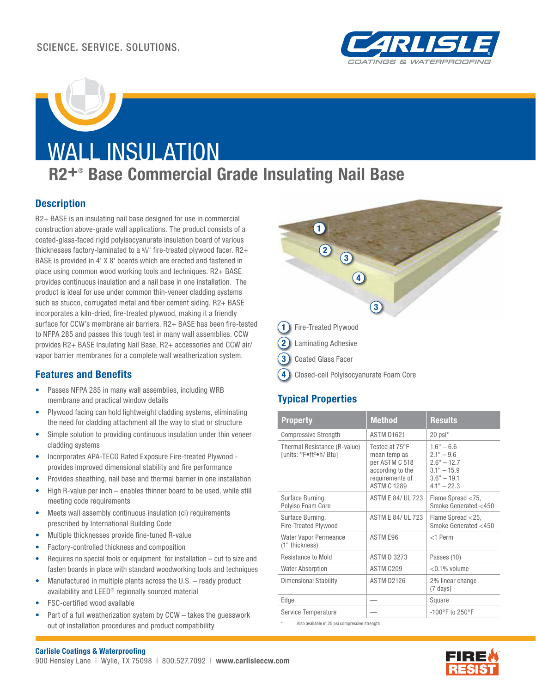

# WALL INSULATION

## **R2+**®  **Base Commercial Grade Insulating Nail Base**

#### **Description**

R2+ BASE is an insulating nail base designed for use in commercial construction above-grade wall applications. The product consists of a coated-glass-faced rigid polyisocyanurate insulation board of various thicknesses factory-laminated to a  $\frac{5}{8}$ " fire-treated plywood facer. R2+ BASE is provided in 4' X 8' boards which are erected and fastened in place using common wood working tools and techniques. R2+ BASE provides continuous insulation and a nail base in one installation. The product is ideal for use under common thin-veneer cladding systems such as stucco, corrugated metal and fiber cement siding. R2+ BASE incorporates a kiln-dried, fire-treated plywood, making it a friendly surface for CCW's membrane air barriers. R2+ BASE has been fire-tested to NFPA 285 and passes this tough test in many wall assemblies. CCW provides R2+ BASE Insulating Nail Base, R2+ accessories and CCW air/ vapor barrier membranes for a complete wall weatherization system.

#### **Features and Benefits**

- Passes NFPA 285 in many wall assemblies, including WRB membrane and practical window details
- Plywood facing can hold lightweight cladding systems, eliminating the need for cladding attachment all the way to stud or structure
- Simple solution to providing continuous insulation under thin veneer cladding systems
- Incorporates APA-TECO Rated Exposure Fire-treated Plywood provides improved dimensional stability and fire performance
- Provides sheathing, nail base and thermal barrier in one installation
- High R-value per inch enables thinner board to be used, while still meeting code requirements
- Meets wall assembly continuous insulation (ci) requirements prescribed by International Building Code
- Multiple thicknesses provide fine-tuned R-value
- Factory-controlled thickness and composition
- Requires no special tools or equipment for installation cut to size and fasten boards in place with standard woodworking tools and techniques
- Manufactured in multiple plants across the U.S. ready product availability and LEED® regionally sourced material
- FSC-certified wood available
- Part of a full weatherization system by CCW takes the quesswork out of installation procedures and product compatibility



**3** Coated Glass Facer

**4** Closed-cell Polyisocyanurate Foam Core

#### **Typical Properties**

| <b>Property</b>                                                     | <b>Method</b>                                                                                                 | <b>Results</b>                                                                                   |
|---------------------------------------------------------------------|---------------------------------------------------------------------------------------------------------------|--------------------------------------------------------------------------------------------------|
| <b>Compressive Strength</b>                                         | ASTM D1621                                                                                                    | 20 psi*                                                                                          |
| Thermal Resistance (R-value)<br>funits: °F●ft <sup>2</sup> ●h/ Btul | Tested at 75°F<br>mean temp as<br>per ASTM C 518<br>according to the<br>requirements of<br><b>ASTM C 1289</b> | $1.6" - 6.6$<br>$2.1" - 9.6$<br>$2.6" - 12.7$<br>$3.1" - 15.9$<br>$3.6" - 19.1$<br>$4.1" - 22.3$ |
| Surface Burning,<br>Polyiso Foam Core                               | <b>ASTM E 84/ UL 723</b>                                                                                      | Flame Spread <75,<br>Smoke Generated <450                                                        |
| Surface Burning,<br>Fire-Treated Plywood                            | <b>ASTM F 84/11 723</b>                                                                                       | Flame Spread <25,<br>Smoke Generated <450                                                        |
| <b>Water Vapor Permeance</b><br>(1" thickness)                      | ASTM E96                                                                                                      | $<$ 1 Perm                                                                                       |
| <b>Resistance to Mold</b>                                           | <b>ASTM D 3273</b>                                                                                            | Passes (10)                                                                                      |
| <b>Water Absorption</b>                                             | ASTM C209                                                                                                     | $<$ 0.1% volume                                                                                  |
| Dimensional Stability                                               | <b>ASTM D2126</b>                                                                                             | 2% linear change<br>$(7 \text{ days})$                                                           |
| Edge                                                                |                                                                                                               | Square                                                                                           |
| Service Temperature                                                 |                                                                                                               | -100 $^{\circ}$ F to 250 $^{\circ}$ F                                                            |

Also available in 25 psi compressive strength

#### **Carlisle Coatings & Waterproofing**

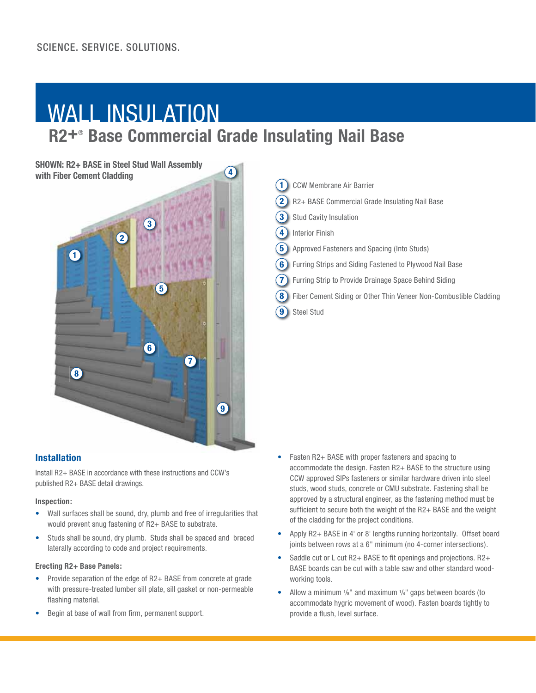# WALL INSULATION

## **R2+**®  **Base Commercial Grade Insulating Nail Base**

**4**

**SHOWN: R2+ BASE in Steel Stud Wall Assembly with Fiber Cement Cladding**



#### **Installation**

Install R2+ BASE in accordance with these instructions and CCW's published R2+ BASE detail drawings.

#### **Inspection:**

- Wall surfaces shall be sound, dry, plumb and free of irregularities that would prevent snug fastening of R2+ BASE to substrate.
- Studs shall be sound, dry plumb. Studs shall be spaced and braced laterally according to code and project requirements.

#### **Erecting R2+ Base Panels:**

- Provide separation of the edge of R2+ BASE from concrete at grade with pressure-treated lumber sill plate, sill gasket or non-permeable flashing material.
- Begin at base of wall from firm, permanent support.

| <b>CCW Membrane Air Barrier</b>                                        |
|------------------------------------------------------------------------|
| R2+ BASE Commercial Grade Insulating Nail Base                         |
| <b>Stud Cavity Insulation</b>                                          |
| <b>Interior Finish</b>                                                 |
| <b>5</b> Approved Fasteners and Spacing (Into Studs)                   |
| 6)<br>Furring Strips and Siding Fastened to Plywood Nail Base          |
| Furring Strip to Provide Drainage Space Behind Siding                  |
| Fiber Cement Siding or Other Thin Veneer Non-Combustible Cladding<br>8 |
| <b>Steel Stud</b><br>g                                                 |

- Fasten R2+ BASE with proper fasteners and spacing to accommodate the design. Fasten R2+ BASE to the structure using CCW approved SIPs fasteners or similar hardware driven into steel studs, wood studs, concrete or CMU substrate. Fastening shall be approved by a structural engineer, as the fastening method must be sufficient to secure both the weight of the R2+ BASE and the weight of the cladding for the project conditions.
- Apply R2+ BASE in 4' or 8' lengths running horizontally. Offset board joints between rows at a 6" minimum (no 4-corner intersections).
- Saddle cut or L cut R2+ BASE to fit openings and projections. R2+ BASE boards can be cut with a table saw and other standard woodworking tools.
- Allow a minimum 1/<sub>8</sub>" and maximum 1/4" gaps between boards (to accommodate hygric movement of wood). Fasten boards tightly to provide a flush, level surface.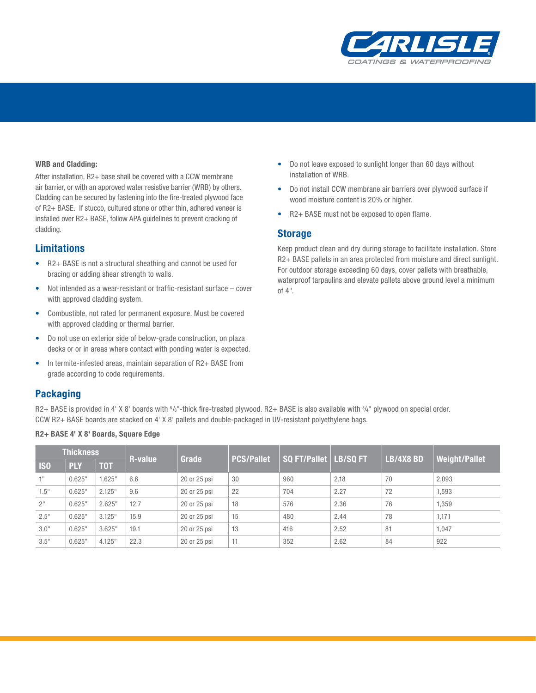

#### **WRB and Cladding:**

After installation, R2+ base shall be covered with a CCW membrane air barrier, or with an approved water resistive barrier (WRB) by others. Cladding can be secured by fastening into the fire-treated plywood face of R2+ BASE. If stucco, cultured stone or other thin, adhered veneer is installed over R2+ BASE, follow APA guidelines to prevent cracking of cladding.

#### **Limitations**

- R2+ BASE is not a structural sheathing and cannot be used for bracing or adding shear strength to walls.
- Not intended as a wear-resistant or traffic-resistant surface  $-$  cover with approved cladding system.
- Combustible, not rated for permanent exposure. Must be covered with approved cladding or thermal barrier.
- Do not use on exterior side of below-grade construction, on plaza decks or or in areas where contact with ponding water is expected.
- In termite-infested areas, maintain separation of R2+ BASE from grade according to code requirements.

#### **Packaging**

R2+ BASE is provided in 4' X 8' boards with 5/s"-thick fire-treated plywood. R2+ BASE is also available with 3/4" plywood on special order. CCW R2+ BASE boards are stacked on 4' X 8' pallets and double-packaged in UV-resistant polyethylene bags.

#### **R2+ BASE 4' X 8' Boards, Square Edge**

| <b>Thickness</b> |            |            |                |              |                   |                              |      |                  |                      |
|------------------|------------|------------|----------------|--------------|-------------------|------------------------------|------|------------------|----------------------|
| <b>ISO</b>       | <b>PLY</b> | <b>TOT</b> | <b>R-value</b> | Grade        | <b>PCS/Pallet</b> | <b>SQ FT/Pallet LB/SQ FT</b> |      | <b>LB/4X8 BD</b> | <b>Weight/Pallet</b> |
| 1"               | 0.625"     | .625"      | 6.6            | 20 or 25 psi | 30                | 960                          | 2.18 | 70               | 2,093                |
| 1.5"             | 0.625"     | 2.125"     | 9.6            | 20 or 25 psi | 22                | 704                          | 2.27 | 72               | 1,593                |
| 2"               | 0.625"     | 2.625"     | 12.7           | 20 or 25 psi | 18                | 576                          | 2.36 | 76               | 1.359                |
| 2.5"             | 0.625"     | 3.125"     | 15.9           | 20 or 25 psi | 15                | 480                          | 2.44 | 78               | 1.171                |
| 3.0"             | 0.625"     | 3.625"     | 19.1           | 20 or 25 psi | 13                | 416                          | 2.52 | 81               | 1.047                |
| 3.5"             | 0.625"     | 4.125"     | 22.3           | 20 or 25 psi | 11                | 352                          | 2.62 | 84               | 922                  |

- Do not leave exposed to sunlight longer than 60 days without installation of WRB.
- Do not install CCW membrane air barriers over plywood surface if wood moisture content is 20% or higher.
- R2+ BASE must not be exposed to open flame.

#### **Storage**

Keep product clean and dry during storage to facilitate installation. Store R2+ BASE pallets in an area protected from moisture and direct sunlight. For outdoor storage exceeding 60 days, cover pallets with breathable, waterproof tarpaulins and elevate pallets above ground level a minimum of 4".